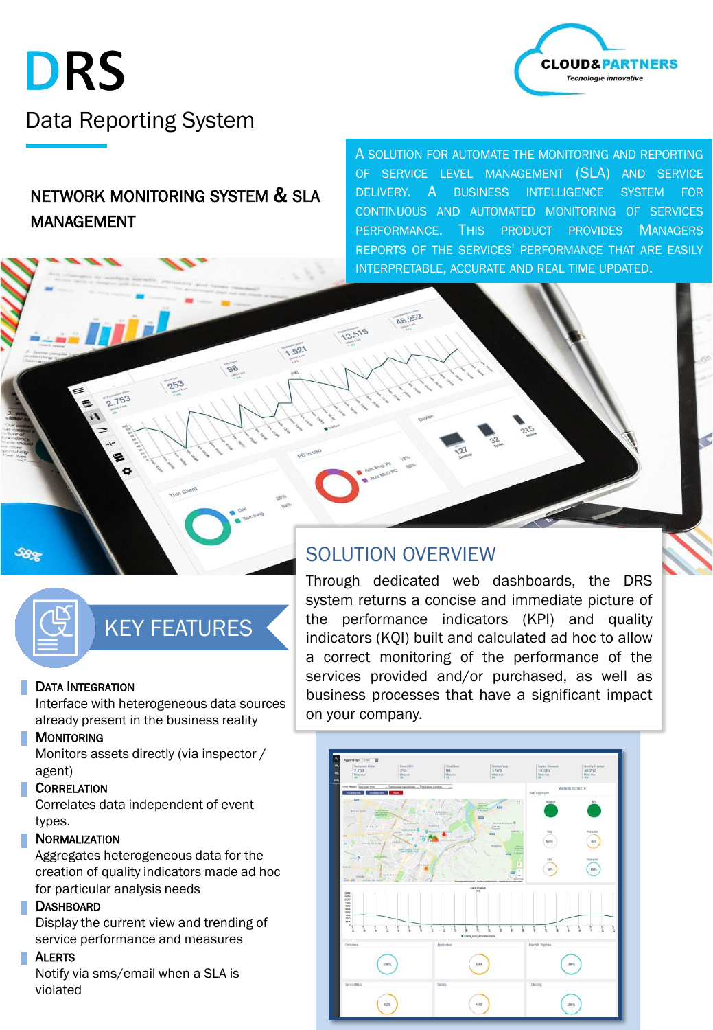



# NETWORK MONITORING SYSTEM & SLA MANAGEMENT

A SOLUTION FOR AUTOMATE THE MONITORING AND REPORTING OF SERVICE LEVEL MANAGEMENT (SLA) AND SERVICE DELIVERY. A BUSINESS INTELLIGENCE SYSTEM FOR CONTINUOUS AND AUTOMATED MONITORING OF SERVICES PERFORMANCE. THIS PRODUCT PROVIDES MANAGERS REPORTS OF THE SERVICES' PERFORMANCE THAT ARE EASILY INTERPRETABLE, ACCURATE AND REAL TIME UPDATED.

# KEY FEATURES

#### DATA INTEGRATION

Interface with heterogeneous data sources already present in the business reality

#### **MONITORING**

Monitors assets directly (via inspector / agent)

### CORRELATION

Correlates data independent of event types.

#### **NORMALIZATION**

Aggregates heterogeneous data for the creation of quality indicators made ad hoc for particular analysis needs

#### **DASHBOARD**

Display the current view and trending of service performance and measures

#### **ALERTS**

Notify via sms/email when a SLA is violated

# SOLUTION OVERVIEW

48.252

13.515

 $521$ 

Through dedicated web dashboards, the DRS system returns a concise and immediate picture of the performance indicators (KPI) and quality indicators (KQI) built and calculated ad hoc to allow a correct monitoring of the performance of the services provided and/or purchased, as well as business processes that have a significant impact on your company.